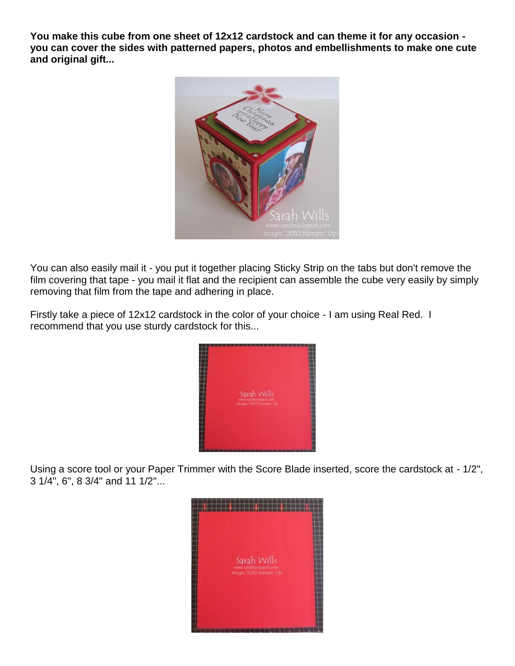**You make this cube from one sheet of 12x12 cardstock and can theme it for any occasion you can cover the sides with patterned papers, photos and embellishments to make one cute and original gift...**



You can also easily mail it - you put it together placing Sticky Strip on the tabs but don't remove the film covering that tape - you mail it flat and the recipient can assemble the cube very easily by simply removing that film from the tape and adhering in place.

Firstly take a piece of 12x12 cardstock in the color of your choice - I am using Real Red. I recommend that you use sturdy cardstock for this...



Using a score tool or your Paper Trimmer with the Score Blade inserted, score the cardstock at - 1/2", 3 1/4", 6", 8 3/4" and 11 1/2"...

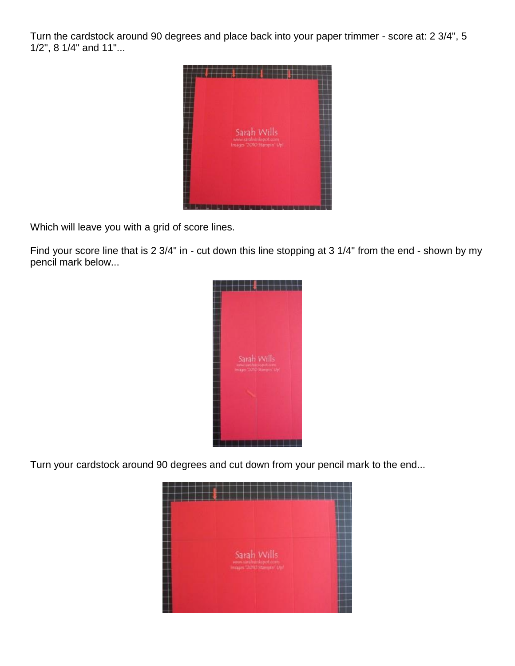Turn the cardstock around 90 degrees and place back into your paper trimmer - score at: 2 3/4", 5 1/2", 8 1/4" and 11"...



Which will leave you with a grid of score lines.

Find your score line that is 2 3/4" in - cut down this line stopping at 3 1/4" from the end - shown by my pencil mark below...



Turn your cardstock around 90 degrees and cut down from your pencil mark to the end...

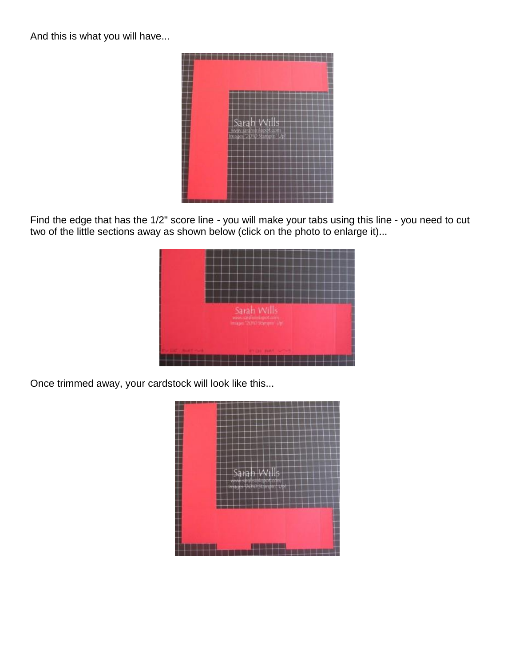And this is what you will have...



Find the edge that has the 1/2" score line - you will make your tabs using this line - you need to cut two of the little sections away as shown below (click on the photo to enlarge it)...



Once trimmed away, your cardstock will look like this...

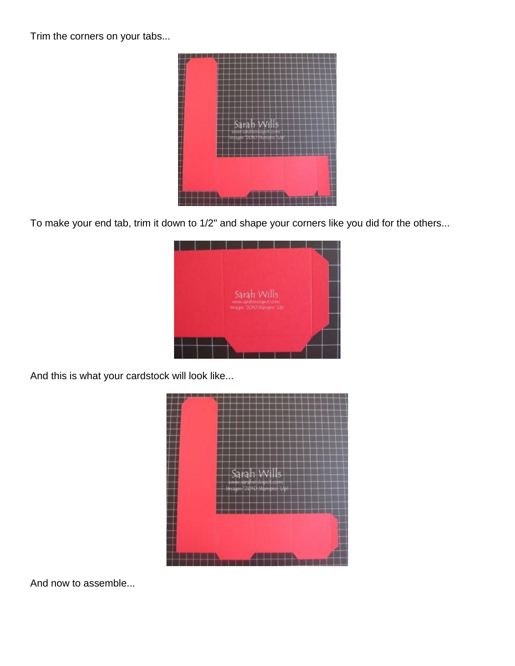Trim the corners on your tabs...



To make your end tab, trim it down to 1/2" and shape your corners like you did for the others...



And this is what your cardstock will look like...



And now to assemble...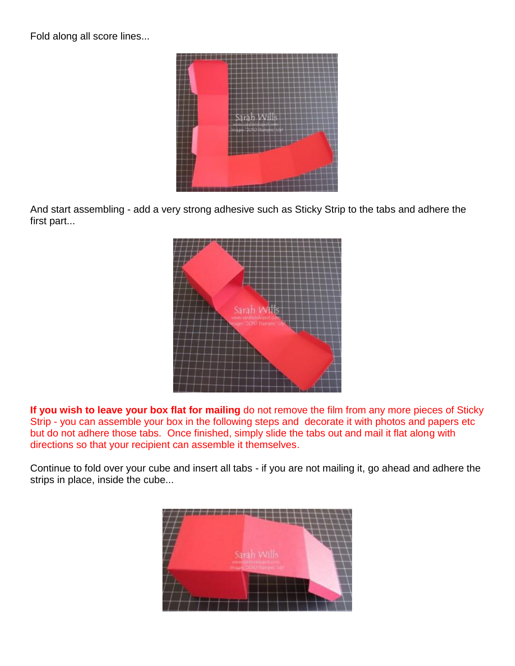Fold along all score lines...



And start assembling - add a very strong adhesive such as Sticky Strip to the tabs and adhere the first part...



**If you wish to leave your box flat for mailing** do not remove the film from any more pieces of Sticky Strip - you can assemble your box in the following steps and decorate it with photos and papers etc but do not adhere those tabs. Once finished, simply slide the tabs out and mail it flat along with directions so that your recipient can assemble it themselves.

Continue to fold over your cube and insert all tabs - if you are not mailing it, go ahead and adhere the strips in place, inside the cube...